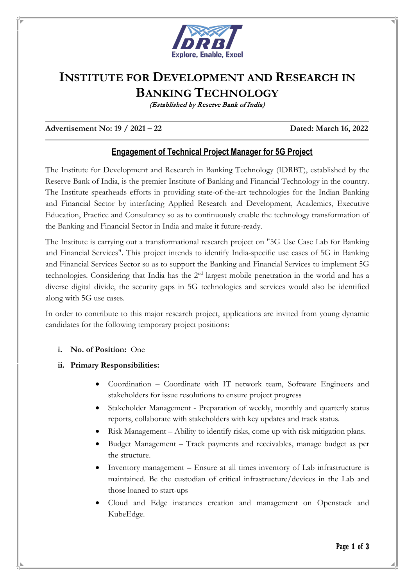

# **INSTITUTE FOR DEVELOPMENT AND RESEARCH IN BANKING TECHNOLOGY**

(Established by Reserve Bank of India)

## **Advertisement No: 19 / 2021 – 22 Dated: March 16, 2022**

# **Engagement of Technical Project Manager for 5G Project**

The Institute for Development and Research in Banking Technology (IDRBT), established by the Reserve Bank of India, is the premier Institute of Banking and Financial Technology in the country. The Institute spearheads efforts in providing state-of-the-art technologies for the Indian Banking and Financial Sector by interfacing Applied Research and Development, Academics, Executive Education, Practice and Consultancy so as to continuously enable the technology transformation of the Banking and Financial Sector in India and make it future-ready.

The Institute is carrying out a transformational research project on "5G Use Case Lab for Banking and Financial Services". This project intends to identify India-specific use cases of 5G in Banking and Financial Services Sector so as to support the Banking and Financial Services to implement 5G technologies. Considering that India has the 2nd largest mobile penetration in the world and has a diverse digital divide, the security gaps in 5G technologies and services would also be identified along with 5G use cases.

In order to contribute to this major research project, applications are invited from young dynamic candidates for the following temporary project positions:

### **i. No. of Position:** One

### **ii. Primary Responsibilities:**

- Coordination Coordinate with IT network team, Software Engineers and stakeholders for issue resolutions to ensure project progress
- Stakeholder Management Preparation of weekly, monthly and quarterly status reports, collaborate with stakeholders with key updates and track status.
- Risk Management Ability to identify risks, come up with risk mitigation plans.
- Budget Management Track payments and receivables, manage budget as per the structure.
- Inventory management Ensure at all times inventory of Lab infrastructure is maintained. Be the custodian of critical infrastructure/devices in the Lab and those loaned to start-ups
- Cloud and Edge instances creation and management on Openstack and KubeEdge.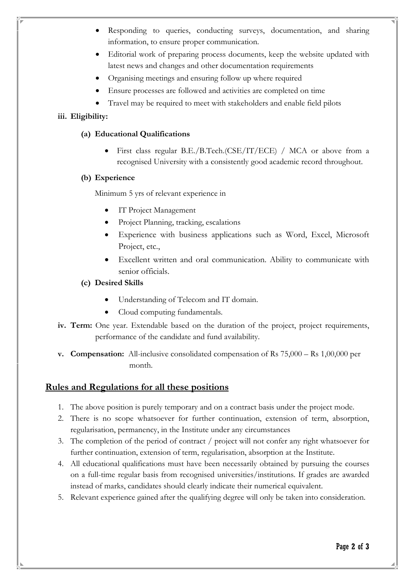- Responding to queries, conducting surveys, documentation, and sharing information, to ensure proper communication.
- Editorial work of preparing process documents, keep the website updated with latest news and changes and other documentation requirements
- Organising meetings and ensuring follow up where required
- Ensure processes are followed and activities are completed on time
- Travel may be required to meet with stakeholders and enable field pilots

# **iii. Eligibility:**

# **(a) Educational Qualifications**

• First class regular B.E./B.Tech.(CSE/IT/ECE) / MCA or above from a recognised University with a consistently good academic record throughout.

# **(b) Experience**

Minimum 5 yrs of relevant experience in

- IT Project Management
- Project Planning, tracking, escalations
- Experience with business applications such as Word, Excel, Microsoft Project, etc.,
- Excellent written and oral communication. Ability to communicate with senior officials.
- **(c) Desired Skills**
	- Understanding of Telecom and IT domain.
	- Cloud computing fundamentals.
- **iv. Term:** One year. Extendable based on the duration of the project, project requirements, performance of the candidate and fund availability.
- **v. Compensation:** All-inclusive consolidated compensation of Rs 75,000 Rs 1,00,000 per month.

# **Rules and Regulations for all these positions**

- 1. The above position is purely temporary and on a contract basis under the project mode.
- 2. There is no scope whatsoever for further continuation, extension of term, absorption, regularisation, permanency, in the Institute under any circumstances
- 3. The completion of the period of contract / project will not confer any right whatsoever for further continuation, extension of term, regularisation, absorption at the Institute.
- 4. All educational qualifications must have been necessarily obtained by pursuing the courses on a full-time regular basis from recognised universities/institutions. If grades are awarded instead of marks, candidates should clearly indicate their numerical equivalent.
- 5. Relevant experience gained after the qualifying degree will only be taken into consideration.